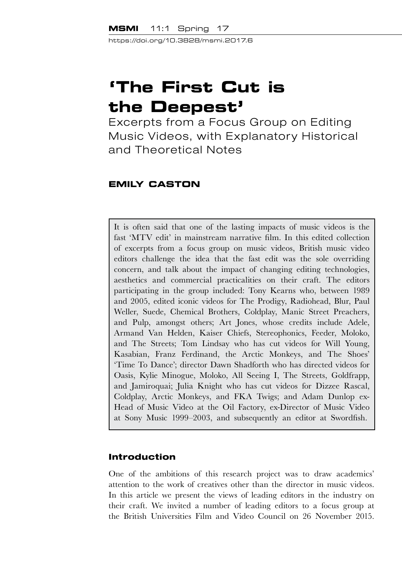https://doi.org/10.3828/msmi.2017.6

# **'The First Cut is the Deepest'**

Excerpts from a Focus Group on Editing Music Videos, with Explanatory Historical and Theoretical Notes

## **Emily Caston**

It is often said that one of the lasting impacts of music videos is the fast 'MTV edit' in mainstream narrative film. In this edited collection of excerpts from a focus group on music videos, British music video editors challenge the idea that the fast edit was the sole overriding concern, and talk about the impact of changing editing technologies, aesthetics and commercial practicalities on their craft. The editors participating in the group included: Tony Kearns who, between 1989 and 2005, edited iconic videos for The Prodigy, Radiohead, Blur, Paul Weller, Suede, Chemical Brothers, Coldplay, Manic Street Preachers, and Pulp, amongst others; Art Jones, whose credits include Adele, Armand Van Helden, Kaiser Chiefs, Stereophonics, Feeder, Moloko, and The Streets; Tom Lindsay who has cut videos for Will Young, Kasabian, Franz Ferdinand, the Arctic Monkeys, and The Shoes' 'Time To Dance'; director Dawn Shadforth who has directed videos for Oasis, Kylie Minogue, Moloko, All Seeing I, The Streets, Goldfrapp, and Jamiroquai; Julia Knight who has cut videos for Dizzee Rascal, Coldplay, Arctic Monkeys, and FKA Twigs; and Adam Dunlop ex-Head of Music Video at the Oil Factory, ex-Director of Music Video at Sony Music 1999–2003, and subsequently an editor at Swordfish.

## Introduction

One of the ambitions of this research project was to draw academics' attention to the work of creatives other than the director in music videos. In this article we present the views of leading editors in the industry on their craft. We invited a number of leading editors to a focus group at the British Universities Film and Video Council on 26 November 2015.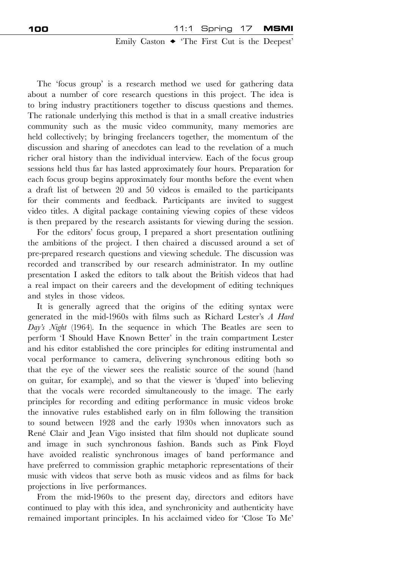The 'focus group' is a research method we used for gathering data about a number of core research questions in this project. The idea is to bring industry practitioners together to discuss questions and themes. The rationale underlying this method is that in a small creative industries community such as the music video community, many memories are held collectively; by bringing freelancers together, the momentum of the discussion and sharing of anecdotes can lead to the revelation of a much richer oral history than the individual interview. Each of the focus group sessions held thus far has lasted approximately four hours. Preparation for each focus group begins approximately four months before the event when a draft list of between 20 and 50 videos is emailed to the participants for their comments and feedback. Participants are invited to suggest video titles. A digital package containing viewing copies of these videos is then prepared by the research assistants for viewing during the session.

For the editors' focus group, I prepared a short presentation outlining the ambitions of the project. I then chaired a discussed around a set of pre-prepared research questions and viewing schedule. The discussion was recorded and transcribed by our research administrator. In my outline presentation I asked the editors to talk about the British videos that had a real impact on their careers and the development of editing techniques and styles in those videos.

It is generally agreed that the origins of the editing syntax were generated in the mid-1960s with films such as Richard Lester's *A Hard Day's Night* (1964). In the sequence in which The Beatles are seen to perform 'I Should Have Known Better' in the train compartment Lester and his editor established the core principles for editing instrumental and vocal performance to camera, delivering synchronous editing both so that the eye of the viewer sees the realistic source of the sound (hand on guitar, for example), and so that the viewer is 'duped' into believing that the vocals were recorded simultaneously to the image. The early principles for recording and editing performance in music videos broke the innovative rules established early on in film following the transition to sound between 1928 and the early 1930s when innovators such as René Clair and Jean Vigo insisted that film should not duplicate sound and image in such synchronous fashion. Bands such as Pink Floyd have avoided realistic synchronous images of band performance and have preferred to commission graphic metaphoric representations of their music with videos that serve both as music videos and as films for back projections in live performances.

From the mid-1960s to the present day, directors and editors have continued to play with this idea, and synchronicity and authenticity have remained important principles. In his acclaimed video for 'Close To Me'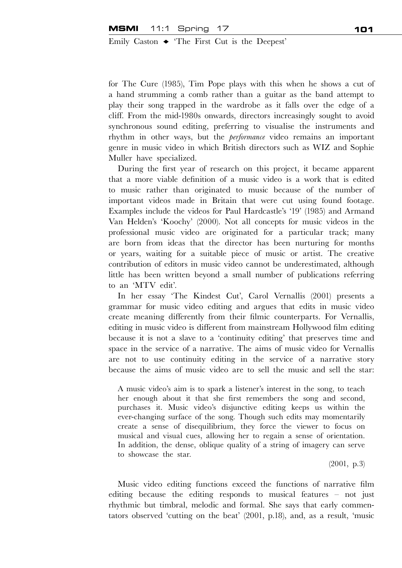for The Cure (1985), Tim Pope plays with this when he shows a cut of a hand strumming a comb rather than a guitar as the band attempt to play their song trapped in the wardrobe as it falls over the edge of a cliff. From the mid-1980s onwards, directors increasingly sought to avoid synchronous sound editing, preferring to visualise the instruments and rhythm in other ways, but the *performance* video remains an important genre in music video in which British directors such as WIZ and Sophie Muller have specialized.

During the first year of research on this project, it became apparent that a more viable definition of a music video is a work that is edited to music rather than originated to music because of the number of important videos made in Britain that were cut using found footage. Examples include the videos for Paul Hardcastle's '19' (1985) and Armand Van Helden's 'Koochy' (2000). Not all concepts for music videos in the professional music video are originated for a particular track; many are born from ideas that the director has been nurturing for months or years, waiting for a suitable piece of music or artist. The creative contribution of editors in music video cannot be underestimated, although little has been written beyond a small number of publications referring to an 'MTV edit'.

In her essay 'The Kindest Cut', Carol Vernallis (2001) presents a grammar for music video editing and argues that edits in music video create meaning differently from their filmic counterparts. For Vernallis, editing in music video is different from mainstream Hollywood film editing because it is not a slave to a 'continuity editing' that preserves time and space in the service of a narrative. The aims of music video for Vernallis are not to use continuity editing in the service of a narrative story because the aims of music video are to sell the music and sell the star:

A music video's aim is to spark a listener's interest in the song, to teach her enough about it that she first remembers the song and second, purchases it. Music video's disjunctive editing keeps us within the ever-changing surface of the song. Though such edits may momentarily create a sense of disequilibrium, they force the viewer to focus on musical and visual cues, allowing her to regain a sense of orientation. In addition, the dense, oblique quality of a string of imagery can serve to showcase the star.

(2001, p.3)

Music video editing functions exceed the functions of narrative film editing because the editing responds to musical features – not just rhythmic but timbral, melodic and formal. She says that early commentators observed 'cutting on the beat' (2001, p.18), and, as a result, 'music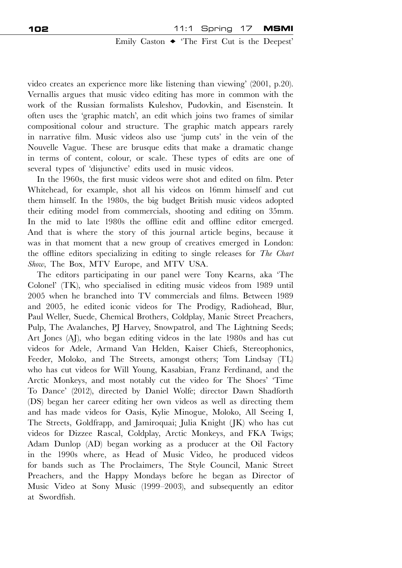video creates an experience more like listening than viewing' (2001, p.20). Vernallis argues that music video editing has more in common with the work of the Russian formalists Kuleshov, Pudovkin, and Eisenstein. It often uses the 'graphic match', an edit which joins two frames of similar compositional colour and structure. The graphic match appears rarely in narrative film. Music videos also use 'jump cuts' in the vein of the Nouvelle Vague. These are brusque edits that make a dramatic change in terms of content, colour, or scale. These types of edits are one of several types of 'disjunctive' edits used in music videos.

In the 1960s, the first music videos were shot and edited on film. Peter Whitehead, for example, shot all his videos on 16mm himself and cut them himself. In the 1980s, the big budget British music videos adopted their editing model from commercials, shooting and editing on 35mm. In the mid to late 1980s the offline edit and offline editor emerged. And that is where the story of this journal article begins, because it was in that moment that a new group of creatives emerged in London: the offline editors specializing in editing to single releases for *The Chart Show*, The Box, MTV Europe, and MTV USA.

The editors participating in our panel were Tony Kearns, aka 'The Colonel' (TK), who specialised in editing music videos from 1989 until 2005 when he branched into TV commercials and films. Between 1989 and 2005, he edited iconic videos for The Prodigy, Radiohead, Blur, Paul Weller, Suede, Chemical Brothers, Coldplay, Manic Street Preachers, Pulp, The Avalanches, PJ Harvey, Snowpatrol, and The Lightning Seeds; Art Jones (AJ), who began editing videos in the late 1980s and has cut videos for Adele, Armand Van Helden, Kaiser Chiefs, Stereophonics, Feeder, Moloko, and The Streets, amongst others; Tom Lindsay (TL) who has cut videos for Will Young, Kasabian, Franz Ferdinand, and the Arctic Monkeys, and most notably cut the video for The Shoes' 'Time To Dance' (2012), directed by Daniel Wolfe; director Dawn Shadforth (DS) began her career editing her own videos as well as directing them and has made videos for Oasis, Kylie Minogue, Moloko, All Seeing I, The Streets, Goldfrapp, and Jamiroquai; Julia Knight (JK) who has cut videos for Dizzee Rascal, Coldplay, Arctic Monkeys, and FKA Twigs; Adam Dunlop (AD) began working as a producer at the Oil Factory in the 1990s where, as Head of Music Video, he produced videos for bands such as The Proclaimers, The Style Council, Manic Street Preachers, and the Happy Mondays before he began as Director of Music Video at Sony Music (1999–2003), and subsequently an editor at Swordfish.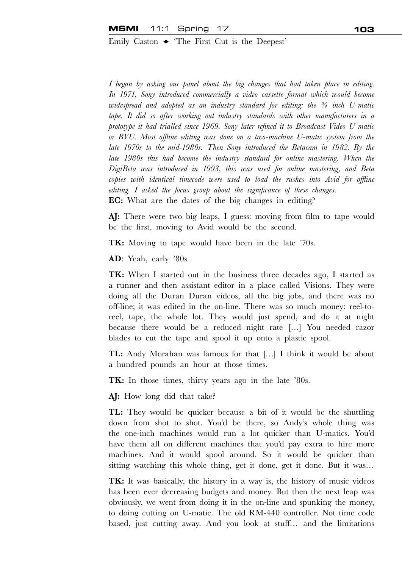*I began by asking our panel about the big changes that had taken place in editing.*  In 1971, Sony introduced commercially a video cassette format which would become *widespread and adopted as an industry standard for editing: the ¾ inch U-matic tape. It did so after working out industry standards with other manufacturers in a prototype it had trialled since 1969. Sony later refined it to Broadcast Video U-matic or BVU. Most offline editing was done on a two-machine U-matic system from the late 1970s to the mid-1980s. Then Sony introduced the Betacam in 1982. By the*  late 1980s this had become the industry standard for online mastering. When the *DigiBeta was introduced in 1993, this was used for online mastering, and Beta*  copies with identical timecode were used to load the rushes into Avid for offline *editing. I asked the focus group about the significance of these changes.*  EC: What are the dates of the big changes in editing?

AJ: There were two big leaps, I guess: moving from film to tape would be the first, moving to Avid would be the second.

**TK:** Moving to tape would have been in the late '70s.

AD: Yeah, early '80s

TK: When I started out in the business three decades ago, I started as a runner and then assistant editor in a place called Visions. They were doing all the Duran Duran videos, all the big jobs, and there was no off-line; it was edited in the on-line. There was so much money: reel-toreel, tape, the whole lot. They would just spend, and do it at night because there would be a reduced night rate […] You needed razor blades to cut the tape and spool it up onto a plastic spool.

**TL:** Andy Morahan was famous for that [...] I think it would be about a hundred pounds an hour at those times.

**TK:** In those times, thirty years ago in the late '80s.

AI: How long did that take?

**TL:** They would be quicker because a bit of it would be the shuttling down from shot to shot. You'd be there, so Andy's whole thing was the one-inch machines would run a lot quicker than U-matics. You'd have them all on different machines that you'd pay extra to hire more machines. And it would spool around. So it would be quicker than sitting watching this whole thing, get it done, get it done. But it was…

**TK:** It was basically, the history in a way is, the history of music videos has been ever decreasing budgets and money. But then the next leap was obviously, we went from doing it in the on-line and spunking the money, to doing cutting on U-matic. The old RM-440 controller. Not time code based, just cutting away. And you look at stuff… and the limitations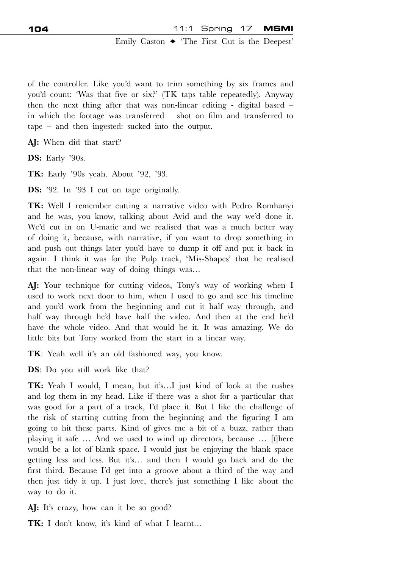of the controller. Like you'd want to trim something by six frames and you'd count: 'Was that five or six?' (TK taps table repeatedly). Anyway then the next thing after that was non-linear editing - digital based – in which the footage was transferred – shot on film and transferred to tape – and then ingested: sucked into the output.

AJ: When did that start?

DS: Early '90s.

TK: Early '90s yeah. About '92, '93.

DS: '92. In '93 I cut on tape originally.

TK: Well I remember cutting a narrative video with Pedro Romhanyi and he was, you know, talking about Avid and the way we'd done it. We'd cut in on U-matic and we realised that was a much better way of doing it, because, with narrative, if you want to drop something in and push out things later you'd have to dump it off and put it back in again. I think it was for the Pulp track, 'Mis-Shapes' that he realised that the non-linear way of doing things was…

A. Your technique for cutting videos, Tony's way of working when I used to work next door to him, when I used to go and see his timeline and you'd work from the beginning and cut it half way through, and half way through he'd have half the video. And then at the end he'd have the whole video. And that would be it. It was amazing. We do little bits but Tony worked from the start in a linear way.

TK: Yeah well it's an old fashioned way, you know.

DS: Do you still work like that?

TK: Yeah I would, I mean, but it's…I just kind of look at the rushes and log them in my head. Like if there was a shot for a particular that was good for a part of a track, I'd place it. But I like the challenge of the risk of starting cutting from the beginning and the figuring I am going to hit these parts. Kind of gives me a bit of a buzz, rather than playing it safe … And we used to wind up directors, because … [t]here would be a lot of blank space. I would just be enjoying the blank space getting less and less. But it's… and then I would go back and do the first third. Because I'd get into a groove about a third of the way and then just tidy it up. I just love, there's just something I like about the way to do it.

AI: It's crazy, how can it be so good?

TK: I don't know, it's kind of what I learnt…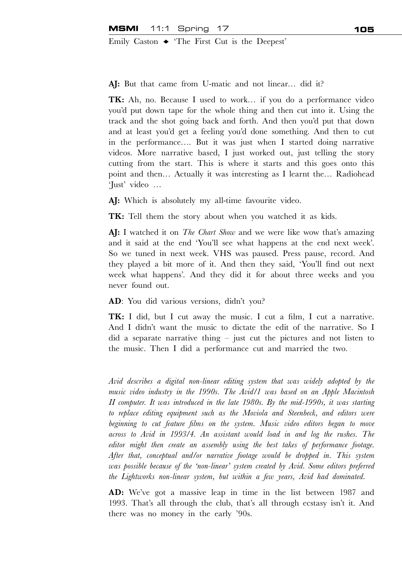AI: But that came from U-matic and not linear... did it?

TK: Ah, no. Because I used to work... if you do a performance video you'd put down tape for the whole thing and then cut into it. Using the track and the shot going back and forth. And then you'd put that down and at least you'd get a feeling you'd done something. And then to cut in the performance…. But it was just when I started doing narrative videos. More narrative based, I just worked out, just telling the story cutting from the start. This is where it starts and this goes onto this point and then… Actually it was interesting as I learnt the… Radiohead 'Just' video …

AJ: Which is absolutely my all-time favourite video.

**TK:** Tell them the story about when you watched it as kids.

AJ: I watched it on *The Chart Show* and we were like wow that's amazing and it said at the end 'You'll see what happens at the end next week'. So we tuned in next week. VHS was paused. Press pause, record. And they played a bit more of it. And then they said, 'You'll find out next week what happens'. And they did it for about three weeks and you never found out.

AD: You did various versions, didn't you?

TK: I did, but I cut away the music. I cut a film, I cut a narrative. And I didn't want the music to dictate the edit of the narrative. So I did a separate narrative thing – just cut the pictures and not listen to the music. Then I did a performance cut and married the two.

*Avid describes a digital non-linear editing system that was widely adopted by the music video industry in the 1990s. The Avid/1 was based on an Apple Macintosh II computer. It was introduced in the late 1980s. By the mid-1990s, it was starting*  to replace editing equipment such as the Moviola and Steenbeck, and editors were beginning to cut feature films on the system. Music video editors began to move *across to Avid in 1993/4. An assistant would load in and log the rushes. The editor might then create an assembly using the best takes of performance footage. After that, conceptual and/or narrative footage would be dropped in. This system was possible because of the 'non-linear' system created by Avid. Some editors preferred the Lightworks non-linear system, but within a few years, Avid had dominated.* 

AD: We've got a massive leap in time in the list between 1987 and 1993. That's all through the club, that's all through ecstasy isn't it. And there was no money in the early '90s.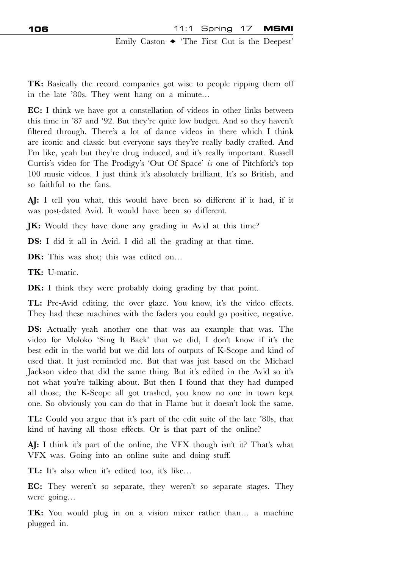**TK:** Basically the record companies got wise to people ripping them off in the late '80s. They went hang on a minute…

EC: I think we have got a constellation of videos in other links between this time in '87 and '92. But they're quite low budget. And so they haven't filtered through. There's a lot of dance videos in there which I think are iconic and classic but everyone says they're really badly crafted. And I'm like, yeah but they're drug induced, and it's really important. Russell Curtis's video for The Prodigy's 'Out Of Space' *is* one of Pitchfork's top 100 music videos. I just think it's absolutely brilliant. It's so British, and so faithful to the fans.

AJ: I tell you what, this would have been so different if it had, if it was post-dated Avid. It would have been so different.

JK: Would they have done any grading in Avid at this time?

DS: I did it all in Avid. I did all the grading at that time.

DK: This was shot; this was edited on...

TK: U-matic.

**DK:** I think they were probably doing grading by that point.

TL: Pre-Avid editing, the over glaze. You know, it's the video effects. They had these machines with the faders you could go positive, negative.

DS: Actually yeah another one that was an example that was. The video for Moloko 'Sing It Back' that we did, I don't know if it's the best edit in the world but we did lots of outputs of K-Scope and kind of used that. It just reminded me. But that was just based on the Michael Jackson video that did the same thing. But it's edited in the Avid so it's not what you're talking about. But then I found that they had dumped all those, the K-Scope all got trashed, you know no one in town kept one. So obviously you can do that in Flame but it doesn't look the same.

TL: Could you argue that it's part of the edit suite of the late '80s, that kind of having all those effects. Or is that part of the online?

AJ: I think it's part of the online, the VFX though isn't it? That's what VFX was. Going into an online suite and doing stuff.

TL: It's also when it's edited too, it's like…

EC: They weren't so separate, they weren't so separate stages. They were going…

TK: You would plug in on a vision mixer rather than… a machine plugged in.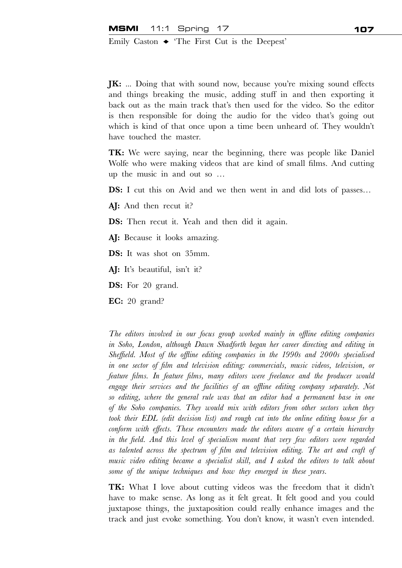**JK:** ... Doing that with sound now, because you're mixing sound effects and things breaking the music, adding stuff in and then exporting it back out as the main track that's then used for the video. So the editor is then responsible for doing the audio for the video that's going out which is kind of that once upon a time been unheard of. They wouldn't have touched the master.

TK: We were saying, near the beginning, there was people like Daniel Wolfe who were making videos that are kind of small films. And cutting up the music in and out so …

**DS:** I cut this on Avid and we then went in and did lots of passes...

AI: And then recut it?

DS: Then recut it. Yeah and then did it again.

AJ: Because it looks amazing.

DS: It was shot on 35mm.

AI: It's beautiful, isn't it?

DS: For 20 grand.

EC: 20 grand?

*The editors involved in our focus group worked mainly in offline editing companies in Soho, London, although Dawn Shadforth began her career directing and editing in Sheffield. Most of the offline editing companies in the 1990s and 2000s specialised in one sector of film and television editing: commercials, music videos, television, or feature films. In feature films, many editors were freelance and the producer would engage their services and the facilities of an offline editing company separately. Not so editing, where the general rule was that an editor had a permanent base in one of the Soho companies. They would mix with editors from other sectors when they took their EDL (edit decision list) and rough cut into the online editing house for a conform with effects. These encounters made the editors aware of a certain hierarchy in the field. And this level of specialism meant that very few editors were regarded as talented across the spectrum of film and television editing. The art and craft of music video editing became a specialist skill, and I asked the editors to talk about some of the unique techniques and how they emerged in these years.*

TK: What I love about cutting videos was the freedom that it didn't have to make sense. As long as it felt great. It felt good and you could juxtapose things, the juxtaposition could really enhance images and the track and just evoke something. You don't know, it wasn't even intended.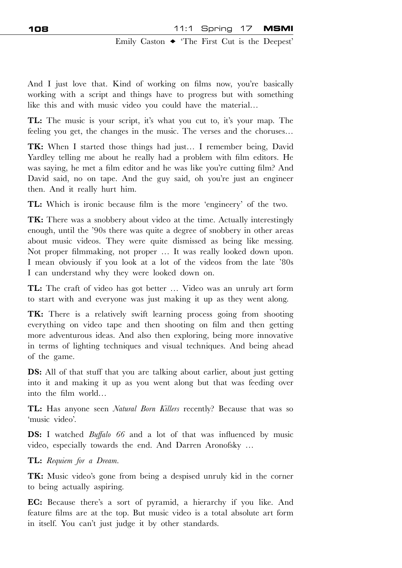And I just love that. Kind of working on films now, you're basically working with a script and things have to progress but with something like this and with music video you could have the material…

TL: The music is your script, it's what you cut to, it's your map. The feeling you get, the changes in the music. The verses and the choruses…

TK: When I started those things had just… I remember being, David Yardley telling me about he really had a problem with film editors. He was saying, he met a film editor and he was like you're cutting film? And David said, no on tape. And the guy said, oh you're just an engineer then. And it really hurt him.

TL: Which is ironic because film is the more 'engineery' of the two.

TK: There was a snobbery about video at the time. Actually interestingly enough, until the '90s there was quite a degree of snobbery in other areas about music videos. They were quite dismissed as being like messing. Not proper filmmaking, not proper … It was really looked down upon. I mean obviously if you look at a lot of the videos from the late '80s I can understand why they were looked down on.

TL: The craft of video has got better … Video was an unruly art form to start with and everyone was just making it up as they went along.

TK: There is a relatively swift learning process going from shooting everything on video tape and then shooting on film and then getting more adventurous ideas. And also then exploring, being more innovative in terms of lighting techniques and visual techniques. And being ahead of the game.

DS: All of that stuff that you are talking about earlier, about just getting into it and making it up as you went along but that was feeding over into the film world…

TL: Has anyone seen *Natural Born Killers* recently? Because that was so 'music video'.

DS: I watched *Buffalo 66* and a lot of that was influenced by music video, especially towards the end. And Darren Aronofsky …

TL: *Requiem for a Dream*.

TK: Music video's gone from being a despised unruly kid in the corner to being actually aspiring.

EC: Because there's a sort of pyramid, a hierarchy if you like. And feature films are at the top. But music video is a total absolute art form in itself. You can't just judge it by other standards.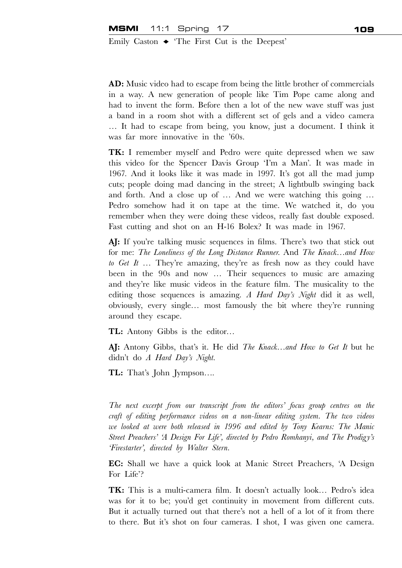AD: Music video had to escape from being the little brother of commercials in a way. A new generation of people like Tim Pope came along and had to invent the form. Before then a lot of the new wave stuff was just a band in a room shot with a different set of gels and a video camera … It had to escape from being, you know, just a document. I think it was far more innovative in the '60s.

TK: I remember myself and Pedro were quite depressed when we saw this video for the Spencer Davis Group 'I'm a Man'. It was made in 1967. And it looks like it was made in 1997. It's got all the mad jump cuts; people doing mad dancing in the street; A lightbulb swinging back and forth. And a close up of … And we were watching this going … Pedro somehow had it on tape at the time. We watched it, do you remember when they were doing these videos, really fast double exposed. Fast cutting and shot on an H-16 Bolex? It was made in 1967.

A. If you're talking music sequences in films. There's two that stick out for me: *The Loneliness of the Long Distance Runner*. And *The Knack…and How to Get It* … They're amazing, they're as fresh now as they could have been in the 90s and now … Their sequences to music are amazing and they're like music videos in the feature film. The musicality to the editing those sequences is amazing. *A Hard Day's Night* did it as well, obviously, every single… most famously the bit where they're running around they escape.

TL: Antony Gibbs is the editor...

AJ: Antony Gibbs, that's it. He did *The Knack…and How to Get It* but he didn't do *A Hard Day's Night.* 

TL: That's John Jympson….

*The next excerpt from our transcript from the editors' focus group centres on the craft of editing performance videos on a non-linear editing system. The two videos we looked at were both released in 1996 and edited by Tony Kearns: The Manic Street Preachers' 'A Design For Life', directed by Pedro Romhanyi, and The Prodigy's 'Firestarter', directed by Walter Stern.*

EC: Shall we have a quick look at Manic Street Preachers, 'A Design For Life'?

TK: This is a multi-camera film. It doesn't actually look… Pedro's idea was for it to be; you'd get continuity in movement from different cuts. But it actually turned out that there's not a hell of a lot of it from there to there. But it's shot on four cameras. I shot, I was given one camera.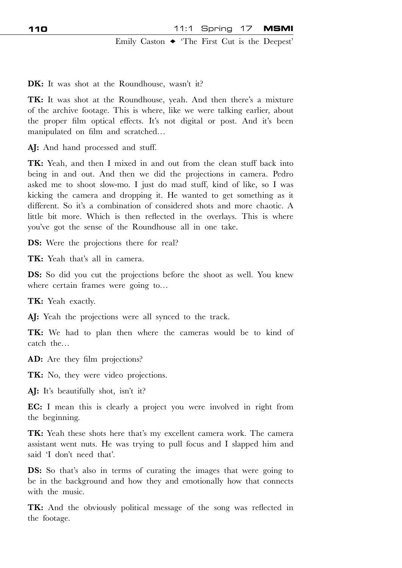DK: It was shot at the Roundhouse, wasn't it?

TK: It was shot at the Roundhouse, yeah. And then there's a mixture of the archive footage. This is where, like we were talking earlier, about the proper film optical effects. It's not digital or post. And it's been manipulated on film and scratched…

AJ: And hand processed and stuff.

TK: Yeah, and then I mixed in and out from the clean stuff back into being in and out. And then we did the projections in camera. Pedro asked me to shoot slow-mo. I just do mad stuff, kind of like, so I was kicking the camera and dropping it. He wanted to get something as it different. So it's a combination of considered shots and more chaotic. A little bit more. Which is then reflected in the overlays. This is where you've got the sense of the Roundhouse all in one take.

DS: Were the projections there for real?

TK: Yeah that's all in camera.

DS: So did you cut the projections before the shoot as well. You knew where certain frames were going to...

TK: Yeah exactly.

AI: Yeah the projections were all synced to the track.

**TK:** We had to plan then where the cameras would be to kind of catch the…

AD: Are they film projections?

TK: No, they were video projections.

AJ: It's beautifully shot, isn't it?

EC: I mean this is clearly a project you were involved in right from the beginning.

TK: Yeah these shots here that's my excellent camera work. The camera assistant went nuts. He was trying to pull focus and I slapped him and said 'I don't need that'.

DS: So that's also in terms of curating the images that were going to be in the background and how they and emotionally how that connects with the music.

TK: And the obviously political message of the song was reflected in the footage.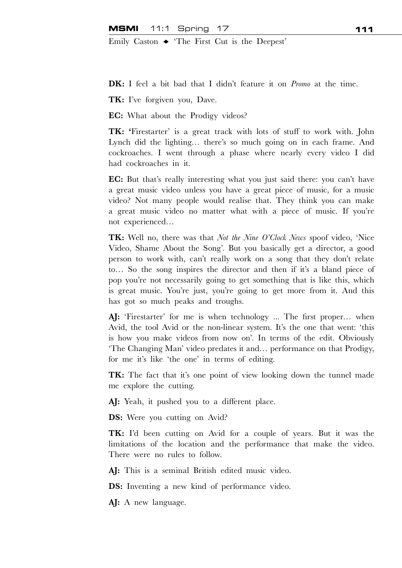DK: I feel a bit bad that I didn't feature it on *Promo* at the time.

**TK:** I've forgiven you, Dave.

EC: What about the Prodigy videos?

TK: 'Firestarter' is a great track with lots of stuff to work with. John Lynch did the lighting… there's so much going on in each frame. And cockroaches. I went through a phase where nearly every video I did had cockroaches in it.

EC: But that's really interesting what you just said there: you can't have a great music video unless you have a great piece of music, for a music video? Not many people would realise that. They think you can make a great music video no matter what with a piece of music. If you're not experienced…

TK: Well no, there was that *Not the Nine O'Clock News* spoof video, 'Nice Video, Shame About the Song'. But you basically get a director, a good person to work with, can't really work on a song that they don't relate to… So the song inspires the director and then if it's a bland piece of pop you're not necessarily going to get something that is like this, which is great music. You're just, you're going to get more from it. And this has got so much peaks and troughs.

AI: 'Firestarter' for me is when technology ... The first proper... when Avid, the tool Avid or the non-linear system. It's the one that went: 'this is how you make videos from now on'. In terms of the edit. Obviously 'The Changing Man' video predates it and… performance on that Prodigy, for me it's like 'the one' in terms of editing.

**TK:** The fact that it's one point of view looking down the tunnel made me explore the cutting.

AI: Yeah, it pushed you to a different place.

DS: Were you cutting on Avid?

TK: I'd been cutting on Avid for a couple of years. But it was the limitations of the location and the performance that make the video. There were no rules to follow.

AJ: This is a seminal British edited music video.

DS: Inventing a new kind of performance video.

AJ: A new language.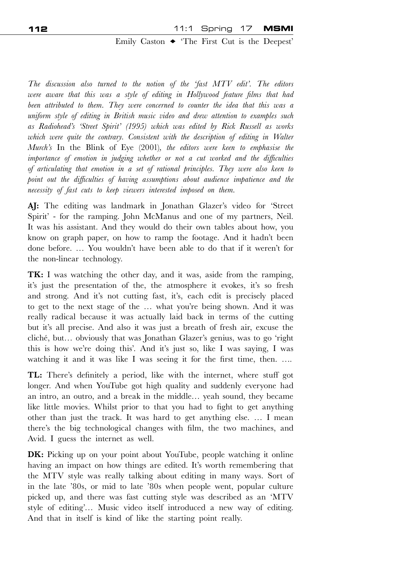*The discussion also turned to the notion of the 'fast MTV edit'. The editors were aware that this was a style of editing in Hollywood feature films that had been attributed to them. They were concerned to counter the idea that this was a uniform style of editing in British music video and drew attention to examples such as Radiohead's 'Street Spirit' (1995) which was edited by Rick Russell as works*  which were quite the contrary. Consistent with the description of editing in Walter *Murch's* In the Blink of Eye (2001)*, the editors were keen to emphasise the importance of emotion in judging whether or not a cut worked and the difficulties of articulating that emotion in a set of rational principles. They were also keen to point out the difficulties of having assumptions about audience impatience and the necessity of fast cuts to keep viewers interested imposed on them.* 

AJ: The editing was landmark in Jonathan Glazer's video for 'Street Spirit' - for the ramping. John McManus and one of my partners, Neil. It was his assistant. And they would do their own tables about how, you know on graph paper, on how to ramp the footage. And it hadn't been done before. … You wouldn't have been able to do that if it weren't for the non-linear technology.

TK: I was watching the other day, and it was, aside from the ramping, it's just the presentation of the, the atmosphere it evokes, it's so fresh and strong. And it's not cutting fast, it's, each edit is precisely placed to get to the next stage of the … what you're being shown. And it was really radical because it was actually laid back in terms of the cutting but it's all precise. And also it was just a breath of fresh air, excuse the cliché, but… obviously that was Jonathan Glazer's genius, was to go 'right this is how we're doing this'. And it's just so, like I was saying, I was watching it and it was like I was seeing it for the first time, then. ….

TL: There's definitely a period, like with the internet, where stuff got longer. And when YouTube got high quality and suddenly everyone had an intro, an outro, and a break in the middle… yeah sound, they became like little movies. Whilst prior to that you had to fight to get anything other than just the track. It was hard to get anything else. … I mean there's the big technological changes with film, the two machines, and Avid. I guess the internet as well.

**DK:** Picking up on your point about YouTube, people watching it online having an impact on how things are edited. It's worth remembering that the MTV style was really talking about editing in many ways. Sort of in the late '80s, or mid to late '80s when people went, popular culture picked up, and there was fast cutting style was described as an 'MTV style of editing'… Music video itself introduced a new way of editing. And that in itself is kind of like the starting point really.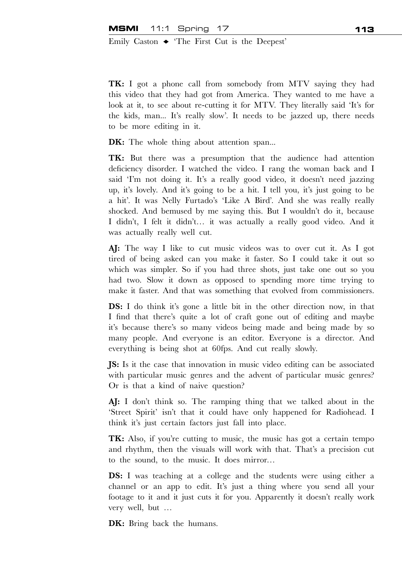TK: I got a phone call from somebody from MTV saying they had this video that they had got from America. They wanted to me have a look at it, to see about re-cutting it for MTV. They literally said 'It's for the kids, man... It's really slow'. It needs to be jazzed up, there needs to be more editing in it.

**DK:** The whole thing about attention span...

TK: But there was a presumption that the audience had attention deficiency disorder. I watched the video. I rang the woman back and I said 'I'm not doing it. It's a really good video, it doesn't need jazzing up, it's lovely. And it's going to be a hit. I tell you, it's just going to be a hit'. It was Nelly Furtado's 'Like A Bird'. And she was really really shocked. And bemused by me saying this. But I wouldn't do it, because I didn't, I felt it didn't… it was actually a really good video. And it was actually really well cut.

AJ: The way I like to cut music videos was to over cut it. As I got tired of being asked can you make it faster. So I could take it out so which was simpler. So if you had three shots, just take one out so you had two. Slow it down as opposed to spending more time trying to make it faster. And that was something that evolved from commissioners.

DS: I do think it's gone a little bit in the other direction now, in that I find that there's quite a lot of craft gone out of editing and maybe it's because there's so many videos being made and being made by so many people. And everyone is an editor. Everyone is a director. And everything is being shot at 60fps. And cut really slowly.

JS: Is it the case that innovation in music video editing can be associated with particular music genres and the advent of particular music genres? Or is that a kind of naive question?

AI: I don't think so. The ramping thing that we talked about in the 'Street Spirit' isn't that it could have only happened for Radiohead. I think it's just certain factors just fall into place.

**TK:** Also, if you're cutting to music, the music has got a certain tempo and rhythm, then the visuals will work with that. That's a precision cut to the sound, to the music. It does mirror…

DS: I was teaching at a college and the students were using either a channel or an app to edit. It's just a thing where you send all your footage to it and it just cuts it for you. Apparently it doesn't really work very well, but …

DK: Bring back the humans.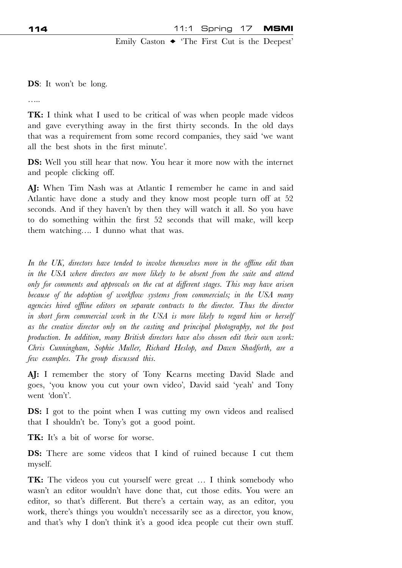DS: It won't be long.

TK: I think what I used to be critical of was when people made videos and gave everything away in the first thirty seconds. In the old days that was a requirement from some record companies, they said 'we want all the best shots in the first minute'.

DS: Well you still hear that now. You hear it more now with the internet and people clicking off.

AJ: When Tim Nash was at Atlantic I remember he came in and said Atlantic have done a study and they know most people turn off at 52 seconds. And if they haven't by then they will watch it all. So you have to do something within the first 52 seconds that will make, will keep them watching…. I dunno what that was.

In the UK, directors have tended to involve themselves more in the offline edit than *in the USA where directors are more likely to be absent from the suite and attend only for comments and approvals on the cut at different stages. This may have arisen because of the adoption of workflow systems from commercials; in the USA many agencies hired offline editors on separate contracts to the director. Thus the director in short form commercial work in the USA is more likely to regard him or herself as the creative director only on the casting and principal photography, not the post production. In addition, many British directors have also chosen edit their own work: Chris Cunningham, Sophie Muller, Richard Heslop, and Dawn Shadforth, are a few examples. The group discussed this.* 

AJ: I remember the story of Tony Kearns meeting David Slade and goes, 'you know you cut your own video', David said 'yeah' and Tony went 'don't'.

**DS:** I got to the point when I was cutting my own videos and realised that I shouldn't be. Tony's got a good point.

TK: It's a bit of worse for worse.

DS: There are some videos that I kind of ruined because I cut them myself.

TK: The videos you cut yourself were great … I think somebody who wasn't an editor wouldn't have done that, cut those edits. You were an editor, so that's different. But there's a certain way, as an editor, you work, there's things you wouldn't necessarily see as a director, you know, and that's why I don't think it's a good idea people cut their own stuff.

…..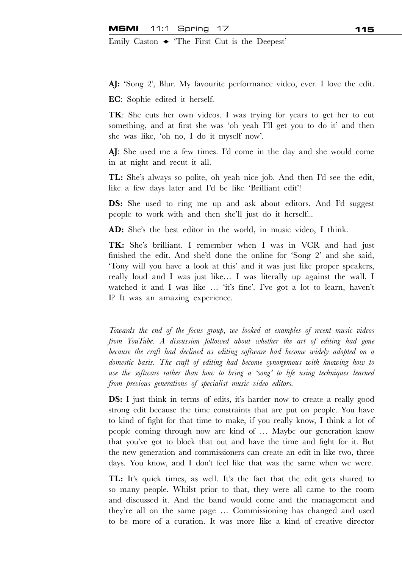AJ: 'Song 2', Blur. My favourite performance video, ever. I love the edit. EC: Sophie edited it herself.

**TK:** She cuts her own videos. I was trying for years to get her to cut something, and at first she was 'oh yeah I'll get you to do it' and then she was like, 'oh no, I do it myself now'.

AJ: She used me a few times. I'd come in the day and she would come in at night and recut it all.

TL: She's always so polite, oh yeah nice job. And then I'd see the edit, like a few days later and I'd be like 'Brilliant edit'!

DS: She used to ring me up and ask about editors. And I'd suggest people to work with and then she'll just do it herself...

AD: She's the best editor in the world, in music video, I think.

TK: She's brilliant. I remember when I was in VCR and had just finished the edit. And she'd done the online for 'Song 2' and she said, 'Tony will you have a look at this' and it was just like proper speakers, really loud and I was just like… I was literally up against the wall. I watched it and I was like … 'it's fine'. I've got a lot to learn, haven't I? It was an amazing experience.

*Towards the end of the focus group, we looked at examples of recent music videos from YouTube. A discussion followed about whether the art of editing had gone because the craft had declined as editing software had become widely adopted on a*  domestic basis. The craft of editing had become synonymous with knowing how to *use the software rather than how to bring a 'song' to life using techniques learned from previous generations of specialist music video editors.*

DS: I just think in terms of edits, it's harder now to create a really good strong edit because the time constraints that are put on people. You have to kind of fight for that time to make, if you really know, I think a lot of people coming through now are kind of … Maybe our generation know that you've got to block that out and have the time and fight for it. But the new generation and commissioners can create an edit in like two, three days. You know, and I don't feel like that was the same when we were.

TL: It's quick times, as well. It's the fact that the edit gets shared to so many people. Whilst prior to that, they were all came to the room and discussed it. And the band would come and the management and they're all on the same page … Commissioning has changed and used to be more of a curation. It was more like a kind of creative director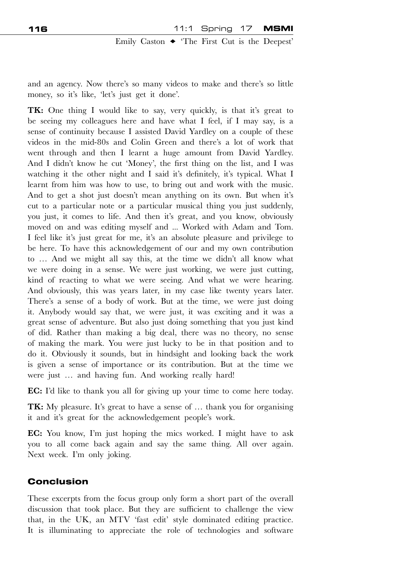and an agency. Now there's so many videos to make and there's so little money, so it's like, 'let's just get it done'.

TK: One thing I would like to say, very quickly, is that it's great to be seeing my colleagues here and have what I feel, if I may say, is a sense of continuity because I assisted David Yardley on a couple of these videos in the mid-80s and Colin Green and there's a lot of work that went through and then I learnt a huge amount from David Yardley. And I didn't know he cut 'Money', the first thing on the list, and I was watching it the other night and I said it's definitely, it's typical. What I learnt from him was how to use, to bring out and work with the music. And to get a shot just doesn't mean anything on its own. But when it's cut to a particular note or a particular musical thing you just suddenly, you just, it comes to life. And then it's great, and you know, obviously moved on and was editing myself and ... Worked with Adam and Tom. I feel like it's just great for me, it's an absolute pleasure and privilege to be here. To have this acknowledgement of our and my own contribution to … And we might all say this, at the time we didn't all know what we were doing in a sense. We were just working, we were just cutting, kind of reacting to what we were seeing. And what we were hearing. And obviously, this was years later, in my case like twenty years later. There's a sense of a body of work. But at the time, we were just doing it. Anybody would say that, we were just, it was exciting and it was a great sense of adventure. But also just doing something that you just kind of did. Rather than making a big deal, there was no theory, no sense of making the mark. You were just lucky to be in that position and to do it. Obviously it sounds, but in hindsight and looking back the work is given a sense of importance or its contribution. But at the time we were just … and having fun. And working really hard!

EC: I'd like to thank you all for giving up your time to come here today.

**TK:** My pleasure. It's great to have a sense of ... thank you for organising it and it's great for the acknowledgement people's work.

EC: You know, I'm just hoping the mics worked. I might have to ask you to all come back again and say the same thing. All over again. Next week. I'm only joking.

#### Conclusion

These excerpts from the focus group only form a short part of the overall discussion that took place. But they are sufficient to challenge the view that, in the UK, an MTV 'fast edit' style dominated editing practice. It is illuminating to appreciate the role of technologies and software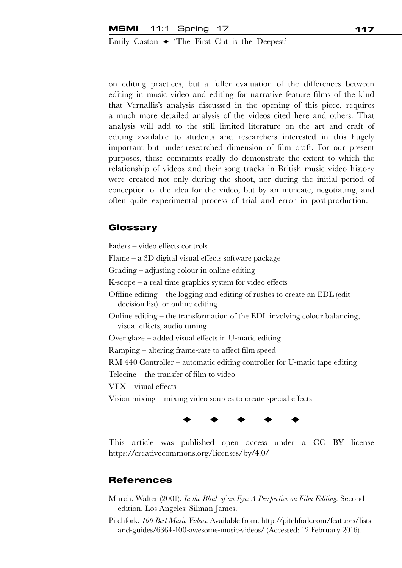on editing practices, but a fuller evaluation of the differences between editing in music video and editing for narrative feature films of the kind that Vernallis's analysis discussed in the opening of this piece, requires a much more detailed analysis of the videos cited here and others. That analysis will add to the still limited literature on the art and craft of editing available to students and researchers interested in this hugely important but under-researched dimension of film craft. For our present purposes, these comments really do demonstrate the extent to which the relationship of videos and their song tracks in British music video history were created not only during the shoot, nor during the initial period of conception of the idea for the video, but by an intricate, negotiating, and often quite experimental process of trial and error in post-production.

## Glossary

Faders – video effects controls Flame – a 3D digital visual effects software package Grading – adjusting colour in online editing K-scope – a real time graphics system for video effects Offline editing – the logging and editing of rushes to create an EDL (edit decision list) for online editing Online editing – the transformation of the EDL involving colour balancing, visual effects, audio tuning Over glaze – added visual effects in U-matic editing Ramping – altering frame-rate to affect film speed RM 440 Controller – automatic editing controller for U-matic tape editing Telecine – the transfer of film to video VFX – visual effects Vision mixing – mixing video sources to create special effects



This article was published open access under a CC BY license https://creativecommons.org/licenses/by/4.0/

## References

Murch, Walter (2001), *In the Blink of an Eye: A Perspective on Film Editing*. Second edition. Los Angeles: Silman-James.

Pitchfork, *100 Best Music Videos*. Available from: http://pitchfork.com/features/listsand-guides/6364-100-awesome-music-videos/ (Accessed: 12 February 2016).